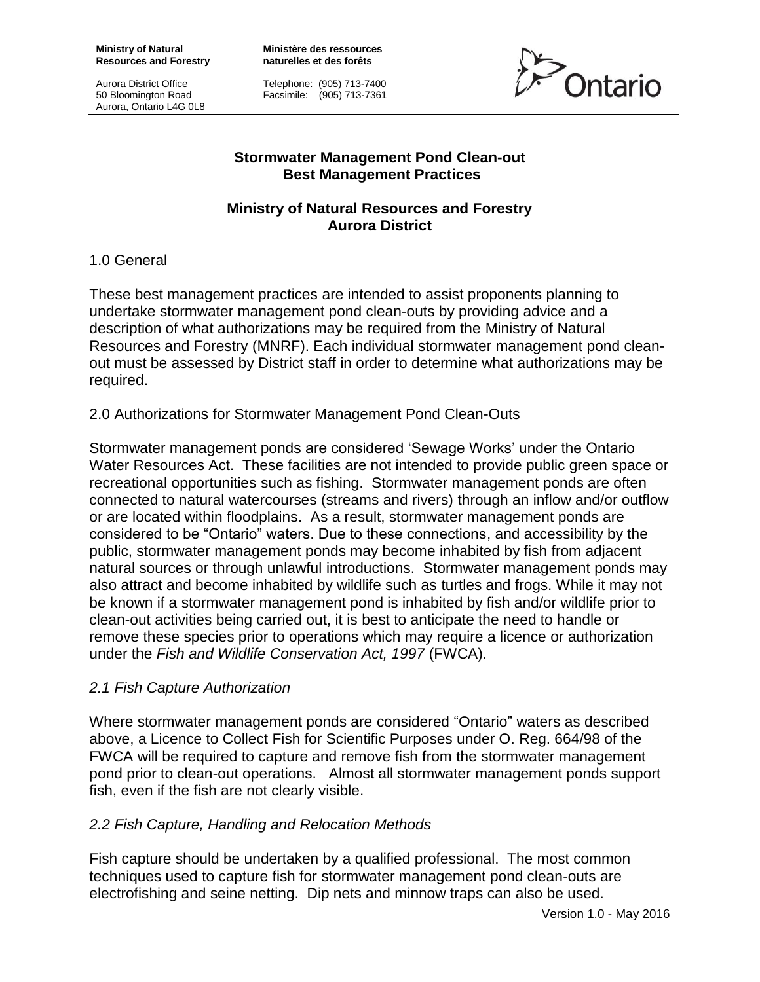**Ministry of Natural Resources and Forestry**

Aurora District Office 50 Bloomington Road Aurora, Ontario L4G 0L8 **Ministère des ressources naturelles et des forêts**

Telephone: (905) 713-7400 Facsimile: (905) 713-7361



### **Stormwater Management Pond Clean-out Best Management Practices**

## **Ministry of Natural Resources and Forestry Aurora District**

## 1.0 General

These best management practices are intended to assist proponents planning to undertake stormwater management pond clean-outs by providing advice and a description of what authorizations may be required from the Ministry of Natural Resources and Forestry (MNRF). Each individual stormwater management pond cleanout must be assessed by District staff in order to determine what authorizations may be required.

## 2.0 Authorizations for Stormwater Management Pond Clean-Outs

Stormwater management ponds are considered 'Sewage Works' under the Ontario Water Resources Act. These facilities are not intended to provide public green space or recreational opportunities such as fishing. Stormwater management ponds are often connected to natural watercourses (streams and rivers) through an inflow and/or outflow or are located within floodplains. As a result, stormwater management ponds are considered to be "Ontario" waters. Due to these connections, and accessibility by the public, stormwater management ponds may become inhabited by fish from adjacent natural sources or through unlawful introductions. Stormwater management ponds may also attract and become inhabited by wildlife such as turtles and frogs. While it may not be known if a stormwater management pond is inhabited by fish and/or wildlife prior to clean-out activities being carried out, it is best to anticipate the need to handle or remove these species prior to operations which may require a licence or authorization under the *Fish and Wildlife Conservation Act, 1997* (FWCA).

## *2.1 Fish Capture Authorization*

Where stormwater management ponds are considered "Ontario" waters as described above, a Licence to Collect Fish for Scientific Purposes under O. Reg. 664/98 of the FWCA will be required to capture and remove fish from the stormwater management pond prior to clean-out operations. Almost all stormwater management ponds support fish, even if the fish are not clearly visible.

# *2.2 Fish Capture, Handling and Relocation Methods*

Fish capture should be undertaken by a qualified professional. The most common techniques used to capture fish for stormwater management pond clean-outs are electrofishing and seine netting. Dip nets and minnow traps can also be used.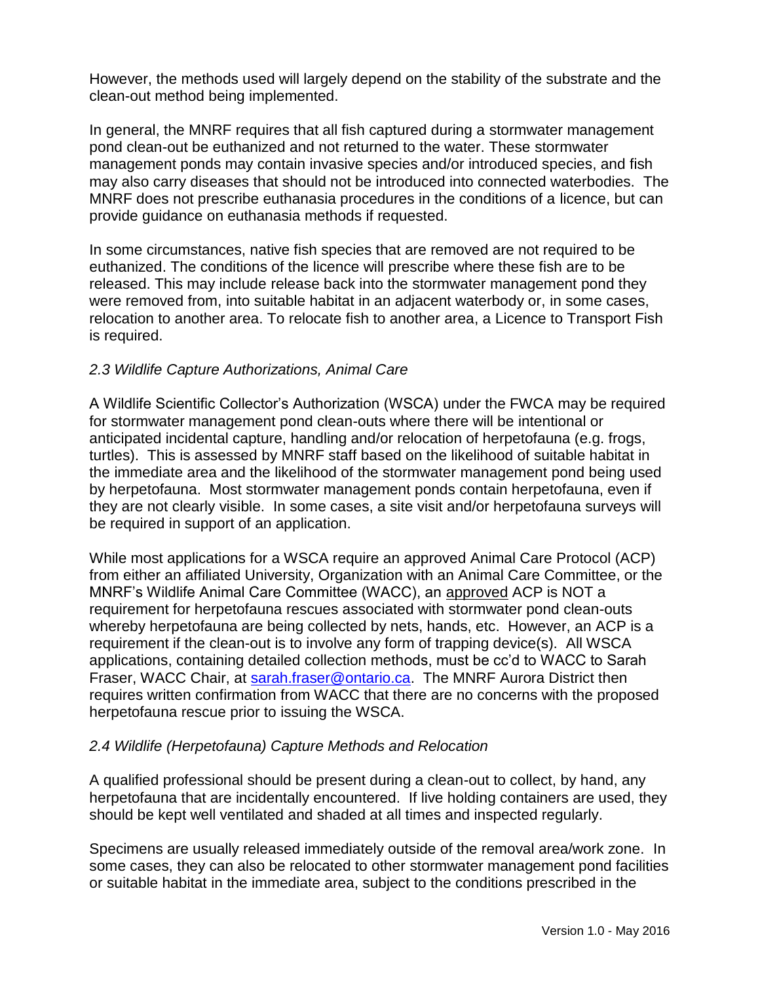However, the methods used will largely depend on the stability of the substrate and the clean-out method being implemented.

In general, the MNRF requires that all fish captured during a stormwater management pond clean-out be euthanized and not returned to the water. These stormwater management ponds may contain invasive species and/or introduced species, and fish may also carry diseases that should not be introduced into connected waterbodies. The MNRF does not prescribe euthanasia procedures in the conditions of a licence, but can provide guidance on euthanasia methods if requested.

In some circumstances, native fish species that are removed are not required to be euthanized. The conditions of the licence will prescribe where these fish are to be released. This may include release back into the stormwater management pond they were removed from, into suitable habitat in an adjacent waterbody or, in some cases, relocation to another area. To relocate fish to another area, a Licence to Transport Fish is required.

## *2.3 Wildlife Capture Authorizations, Animal Care*

A Wildlife Scientific Collector's Authorization (WSCA) under the FWCA may be required for stormwater management pond clean-outs where there will be intentional or anticipated incidental capture, handling and/or relocation of herpetofauna (e.g. frogs, turtles). This is assessed by MNRF staff based on the likelihood of suitable habitat in the immediate area and the likelihood of the stormwater management pond being used by herpetofauna. Most stormwater management ponds contain herpetofauna, even if they are not clearly visible. In some cases, a site visit and/or herpetofauna surveys will be required in support of an application.

While most applications for a WSCA require an approved Animal Care Protocol (ACP) from either an affiliated University, Organization with an Animal Care Committee, or the MNRF's Wildlife Animal Care Committee (WACC), an approved ACP is NOT a requirement for herpetofauna rescues associated with stormwater pond clean-outs whereby herpetofauna are being collected by nets, hands, etc. However, an ACP is a requirement if the clean-out is to involve any form of trapping device(s). All WSCA applications, containing detailed collection methods, must be cc'd to WACC to Sarah Fraser, WACC Chair, at [sarah.fraser@ontario.ca.](mailto:sarah.fraser@ontario.ca) The MNRF Aurora District then requires written confirmation from WACC that there are no concerns with the proposed herpetofauna rescue prior to issuing the WSCA.

## *2.4 Wildlife (Herpetofauna) Capture Methods and Relocation*

A qualified professional should be present during a clean-out to collect, by hand, any herpetofauna that are incidentally encountered. If live holding containers are used, they should be kept well ventilated and shaded at all times and inspected regularly.

Specimens are usually released immediately outside of the removal area/work zone. In some cases, they can also be relocated to other stormwater management pond facilities or suitable habitat in the immediate area, subject to the conditions prescribed in the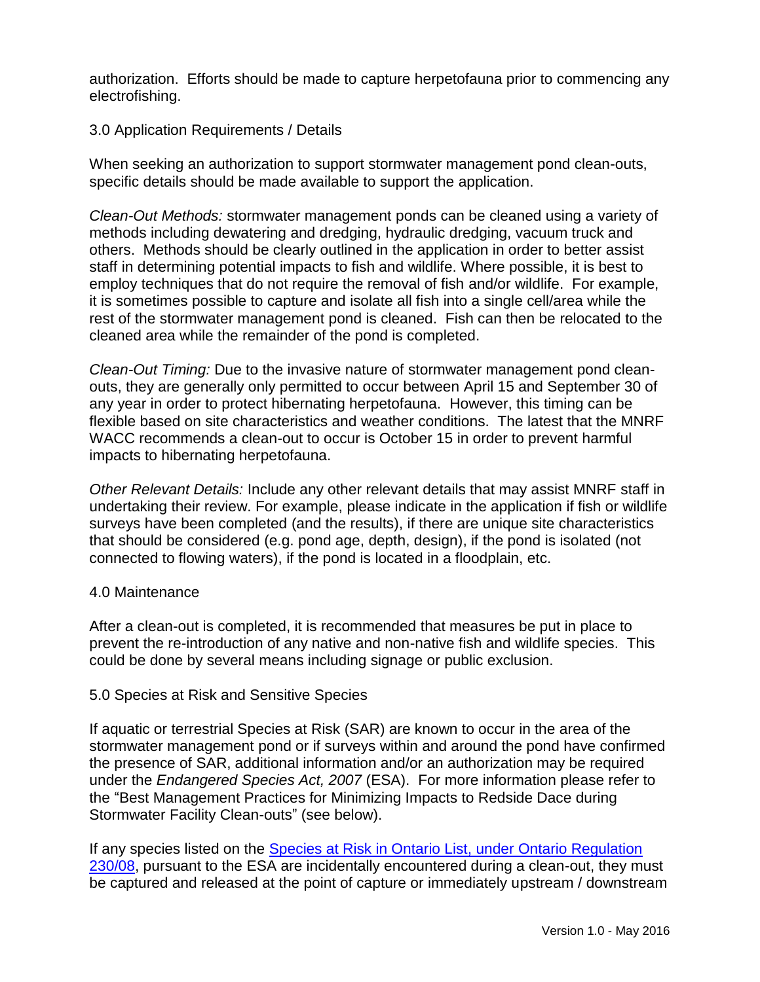authorization. Efforts should be made to capture herpetofauna prior to commencing any electrofishing.

## 3.0 Application Requirements / Details

When seeking an authorization to support stormwater management pond clean-outs, specific details should be made available to support the application.

*Clean-Out Methods:* stormwater management ponds can be cleaned using a variety of methods including dewatering and dredging, hydraulic dredging, vacuum truck and others. Methods should be clearly outlined in the application in order to better assist staff in determining potential impacts to fish and wildlife. Where possible, it is best to employ techniques that do not require the removal of fish and/or wildlife. For example, it is sometimes possible to capture and isolate all fish into a single cell/area while the rest of the stormwater management pond is cleaned. Fish can then be relocated to the cleaned area while the remainder of the pond is completed.

*Clean-Out Timing:* Due to the invasive nature of stormwater management pond cleanouts, they are generally only permitted to occur between April 15 and September 30 of any year in order to protect hibernating herpetofauna. However, this timing can be flexible based on site characteristics and weather conditions. The latest that the MNRF WACC recommends a clean-out to occur is October 15 in order to prevent harmful impacts to hibernating herpetofauna.

*Other Relevant Details:* Include any other relevant details that may assist MNRF staff in undertaking their review. For example, please indicate in the application if fish or wildlife surveys have been completed (and the results), if there are unique site characteristics that should be considered (e.g. pond age, depth, design), if the pond is isolated (not connected to flowing waters), if the pond is located in a floodplain, etc.

#### 4.0 Maintenance

After a clean-out is completed, it is recommended that measures be put in place to prevent the re-introduction of any native and non-native fish and wildlife species. This could be done by several means including signage or public exclusion.

#### 5.0 Species at Risk and Sensitive Species

If aquatic or terrestrial Species at Risk (SAR) are known to occur in the area of the stormwater management pond or if surveys within and around the pond have confirmed the presence of SAR, additional information and/or an authorization may be required under the *Endangered Species Act, 2007* (ESA). For more information please refer to the "Best Management Practices for Minimizing Impacts to Redside Dace during Stormwater Facility Clean-outs" (see below).

If any species listed on the [Species at Risk in Ontario List, under Ontario Regulation](http://www.e-laws.gov.on.ca/html/regs/english/elaws_regs_080230_e.htm)  [230/08,](http://www.e-laws.gov.on.ca/html/regs/english/elaws_regs_080230_e.htm) pursuant to the ESA are incidentally encountered during a clean-out, they must be captured and released at the point of capture or immediately upstream / downstream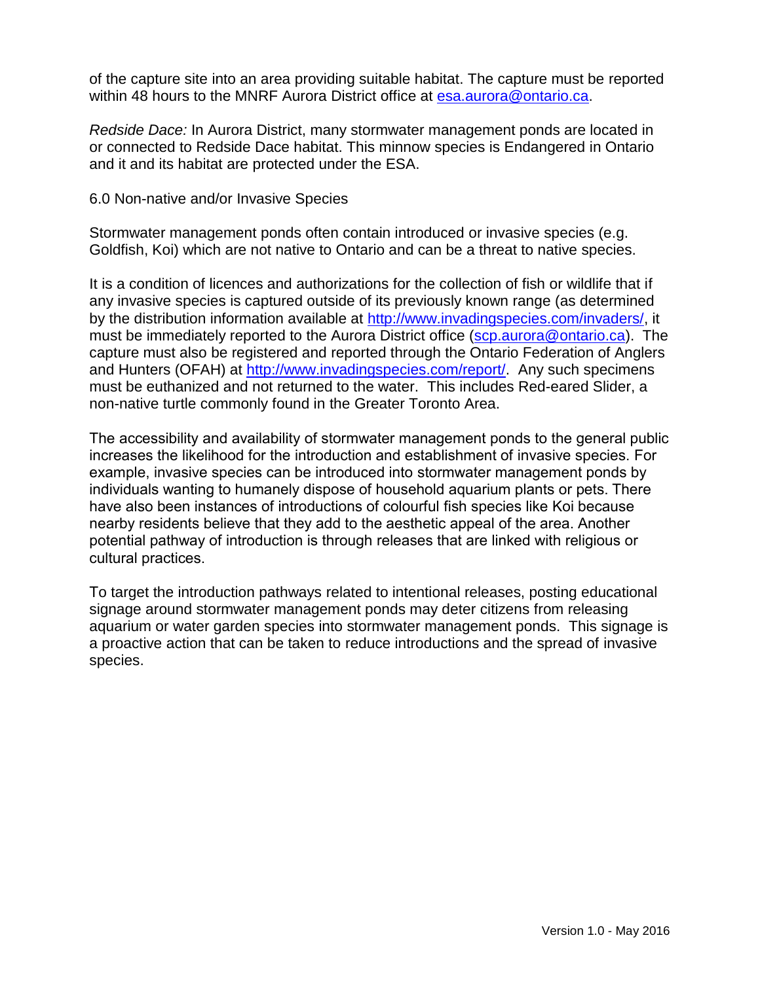of the capture site into an area providing suitable habitat. The capture must be reported within 48 hours to the MNRF Aurora District office at [esa.aurora@ontario.ca.](mailto:esa.aurora@ontario.ca)

*Redside Dace:* In Aurora District, many stormwater management ponds are located in or connected to Redside Dace habitat. This minnow species is Endangered in Ontario and it and its habitat are protected under the ESA.

6.0 Non-native and/or Invasive Species

Stormwater management ponds often contain introduced or invasive species (e.g. Goldfish, Koi) which are not native to Ontario and can be a threat to native species.

It is a condition of licences and authorizations for the collection of fish or wildlife that if any invasive species is captured outside of its previously known range (as determined by the distribution information available at [http://www.invadingspecies.com/invaders/,](http://www.invadingspecies.com/invaders/) it must be immediately reported to the Aurora District office [\(scp.aurora@ontario.ca\)](mailto:scp.aurora@ontario.ca). The capture must also be registered and reported through the Ontario Federation of Anglers and Hunters (OFAH) at [http://www.invadingspecies.com/report/.](http://www.invadingspecies.com/report/) Any such specimens must be euthanized and not returned to the water. This includes Red-eared Slider, a non-native turtle commonly found in the Greater Toronto Area.

The accessibility and availability of stormwater management ponds to the general public increases the likelihood for the introduction and establishment of invasive species. For example, invasive species can be introduced into stormwater management ponds by individuals wanting to humanely dispose of household aquarium plants or pets. There have also been instances of introductions of colourful fish species like Koi because nearby residents believe that they add to the aesthetic appeal of the area. Another potential pathway of introduction is through releases that are linked with religious or cultural practices.

To target the introduction pathways related to intentional releases, posting educational signage around stormwater management ponds may deter citizens from releasing aquarium or water garden species into stormwater management ponds. This signage is a proactive action that can be taken to reduce introductions and the spread of invasive species.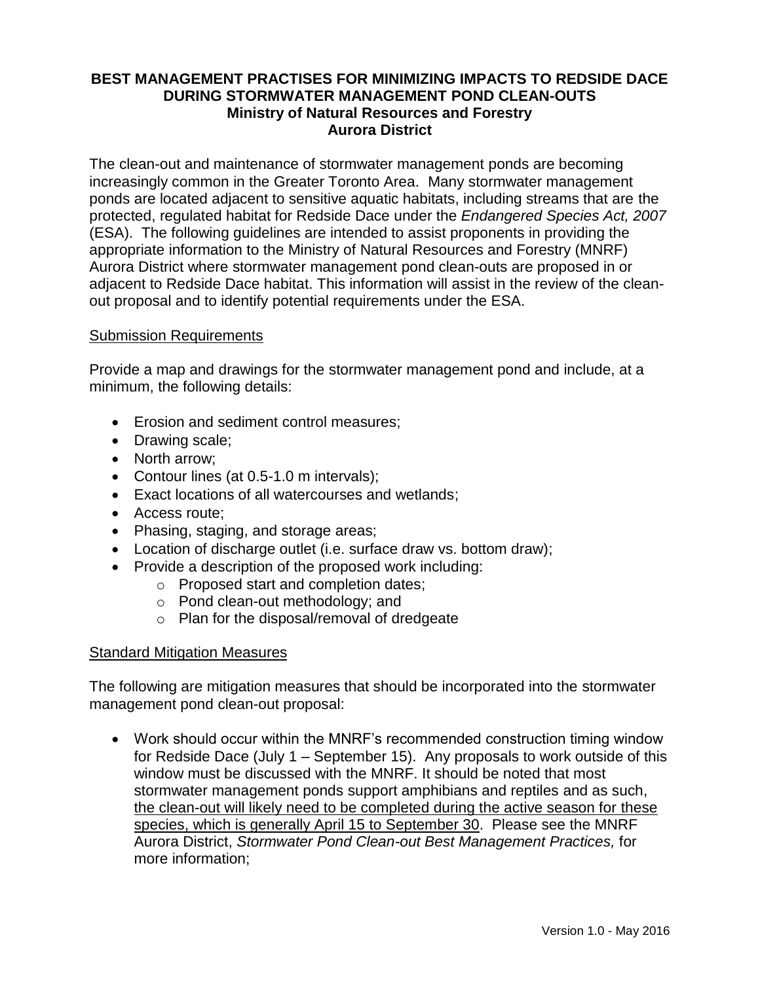## **BEST MANAGEMENT PRACTISES FOR MINIMIZING IMPACTS TO REDSIDE DACE DURING STORMWATER MANAGEMENT POND CLEAN-OUTS Ministry of Natural Resources and Forestry Aurora District**

The clean-out and maintenance of stormwater management ponds are becoming increasingly common in the Greater Toronto Area. Many stormwater management ponds are located adjacent to sensitive aquatic habitats, including streams that are the protected, regulated habitat for Redside Dace under the *Endangered Species Act, 2007*  (ESA). The following guidelines are intended to assist proponents in providing the appropriate information to the Ministry of Natural Resources and Forestry (MNRF) Aurora District where stormwater management pond clean-outs are proposed in or adjacent to Redside Dace habitat. This information will assist in the review of the cleanout proposal and to identify potential requirements under the ESA.

#### Submission Requirements

Provide a map and drawings for the stormwater management pond and include, at a minimum, the following details:

- **Erosion and sediment control measures:**
- Drawing scale;
- North arrow:
- Contour lines (at 0.5-1.0 m intervals);
- Exact locations of all watercourses and wetlands;
- Access route;
- Phasing, staging, and storage areas;
- Location of discharge outlet (i.e. surface draw vs. bottom draw);
- Provide a description of the proposed work including:
	- o Proposed start and completion dates;
	- o Pond clean-out methodology; and
	- o Plan for the disposal/removal of dredgeate

## Standard Mitigation Measures

The following are mitigation measures that should be incorporated into the stormwater management pond clean-out proposal:

 Work should occur within the MNRF's recommended construction timing window for Redside Dace (July 1 – September 15). Any proposals to work outside of this window must be discussed with the MNRF. It should be noted that most stormwater management ponds support amphibians and reptiles and as such, the clean-out will likely need to be completed during the active season for these species, which is generally April 15 to September 30. Please see the MNRF Aurora District, *Stormwater Pond Clean-out Best Management Practices,* for more information;